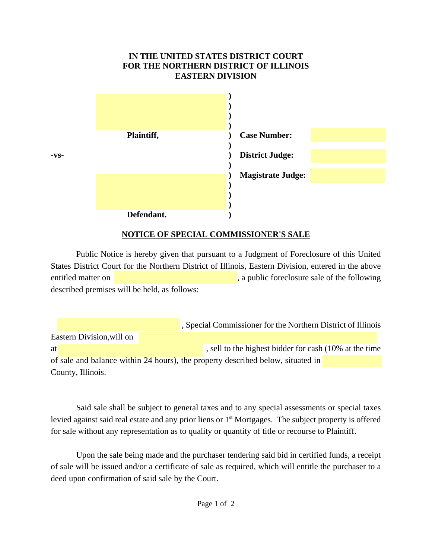## **IN THE UNITED STATES DISTRICT COURT FOR THE NORTHERN DISTRICT OF ILLINOIS EASTERN DIVISION**



## **NOTICE OF SPECIAL COMMISSIONER'S SALE**

Public Notice is hereby given that pursuant to a Judgment of Foreclosure of this United States District Court for the Northern District of Illinois, Eastern Division, entered in the above entitled matter on **the contract on the contract of the following**, a public foreclosure sale of the following described premises will be held, as follows:

 , Special Commissioner for the Northern District of Illinois Eastern Division,will on at  $\alpha$  , sell to the highest bidder for cash (10% at the time of sale and balance within 24 hours), the property described below, situated in County, Illinois.

Said sale shall be subject to general taxes and to any special assessments or special taxes levied against said real estate and any prior liens or 1<sup>st</sup> Mortgages. The subject property is offered for sale without any representation as to quality or quantity of title or recourse to Plaintiff.

Upon the sale being made and the purchaser tendering said bid in certified funds, a receipt of sale will be issued and/or a certificate of sale as required, which will entitle the purchaser to a deed upon confirmation of said sale by the Court.